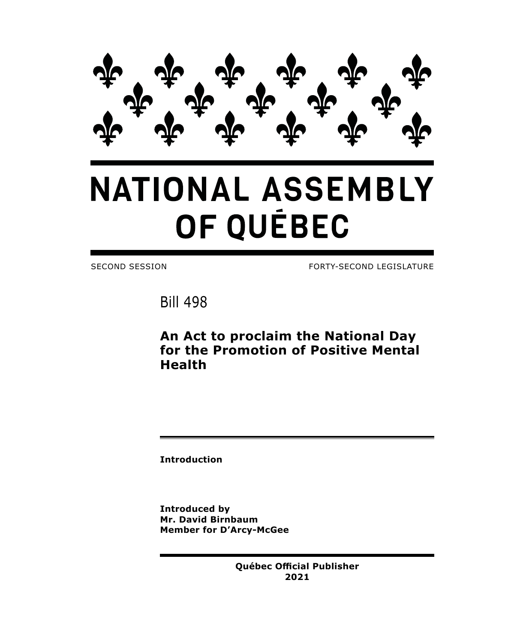

## **NATIONAL ASSEMBLY** OF QUÉBEC

SECOND SESSION FORTY-SECOND LEGISLATURE

Bill 498

**An Act to proclaim the National Day for the Promotion of Positive Mental Health**

**Introduction**

**Introduced by Mr. David Birnbaum Member for D'Arcy-McGee**

> **Québec Official Publisher 2021**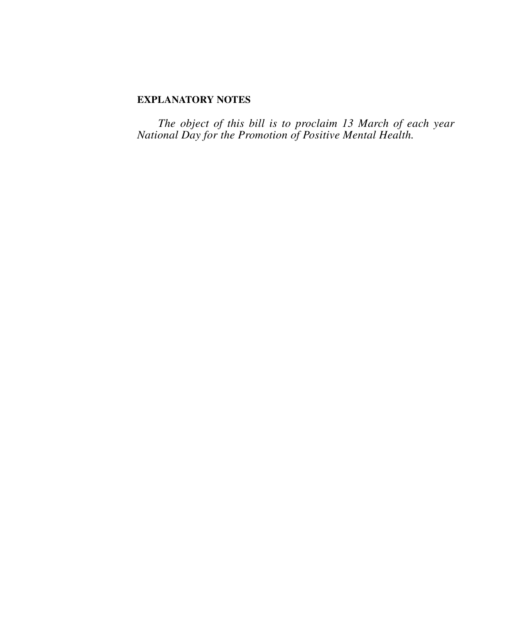## **EXPLANATORY NOTES**

*The object of this bill is to proclaim 13 March of each year National Day for the Promotion of Positive Mental Health.*